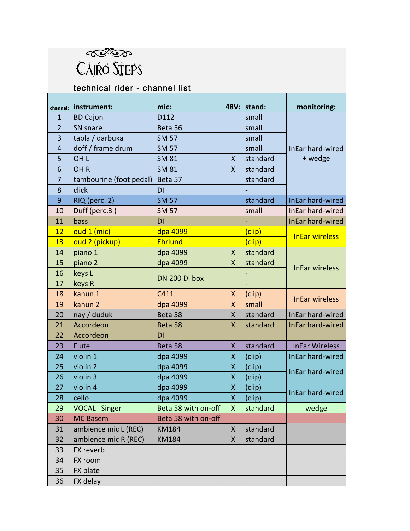

## technical rider - channel list

| channel:       | instrument:             | mic:                |                    | 48V: stand: | monitoring:           |
|----------------|-------------------------|---------------------|--------------------|-------------|-----------------------|
| $\mathbf{1}$   | <b>BD Cajon</b>         | D112                |                    | small       |                       |
| $\overline{2}$ | SN snare                | Beta 56             |                    | small       |                       |
| 3              | tabla / darbuka         | <b>SM 57</b>        |                    | small       |                       |
| $\overline{4}$ | doff / frame drum       | <b>SM 57</b>        |                    | small       | InEar hard-wired      |
| 5              | OH <sub>L</sub>         | <b>SM 81</b>        | X                  | standard    | + wedge               |
| 6              | OH <sub>R</sub>         | <b>SM 81</b>        | X                  | standard    |                       |
| 7              | tambourine (foot pedal) | Beta 57             |                    | standard    |                       |
| 8              | click                   | DI                  |                    |             |                       |
| 9              | RIQ (perc. 2)           | <b>SM 57</b>        |                    | standard    | InEar hard-wired      |
| 10             | Duff (perc.3)           | <b>SM 57</b>        |                    | small       | InEar hard-wired      |
| 11             | bass                    | DI                  |                    |             | InEar hard-wired      |
| 12             | oud 1 (mic)             | dpa 4099            |                    | (clip)      | <b>InEar wireless</b> |
| 13             | oud 2 (pickup)          | Ehrlund             |                    | (clip)      |                       |
| 14             | piano 1                 | dpa 4099            | $\mathsf{X}$       | standard    | <b>InEar wireless</b> |
| 15             | piano 2                 | dpa 4099            | X                  | standard    |                       |
| 16             | keys L                  |                     |                    |             |                       |
| 17             | keys R                  | DN 200 Di box       |                    |             |                       |
| 18             | kanun 1                 | C411                | $\pmb{\mathsf{X}}$ | (clip)      |                       |
| 19             | kanun 2                 | dpa 4099            | X                  | small       | <b>InEar wireless</b> |
| 20             | nay / duduk             | Beta 58             | X                  | standard    | InEar hard-wired      |
| 21             | Accordeon               | Beta 58             | X                  | standard    | InEar hard-wired      |
| 22             | Accordeon               | DI                  |                    |             |                       |
| 23             | Flute                   | Beta 58             | X                  | standard    | <b>InEar Wireless</b> |
| 24             | violin 1                | dpa 4099            | X                  | (clip)      | InEar hard-wired      |
| 25             | violin 2                | dpa 4099            | X                  | (clip)      |                       |
| 26             | violin 3                | dpa 4099            | $\pmb{\mathsf{X}}$ | (clip)      | InEar hard-wired      |
| 27             | violin 4                | dpa 4099            | X                  | (clip)      |                       |
| 28             | cello                   | dpa 4099            | X                  | (clip)      | InEar hard-wired      |
| 29             | <b>VOCAL Singer</b>     | Beta 58 with on-off | X                  | standard    | wedge                 |
| 30             | <b>MC Basem</b>         | Beta 58 with on-off |                    |             |                       |
| 31             | ambience mic L (REC)    | KM184               | $\pmb{\mathsf{X}}$ | standard    |                       |
| 32             | ambience mic R (REC)    | <b>KM184</b>        | X                  | standard    |                       |
| 33             | FX reverb               |                     |                    |             |                       |
| 34             | FX room                 |                     |                    |             |                       |
| 35             | FX plate                |                     |                    |             |                       |
| 36             | FX delay                |                     |                    |             |                       |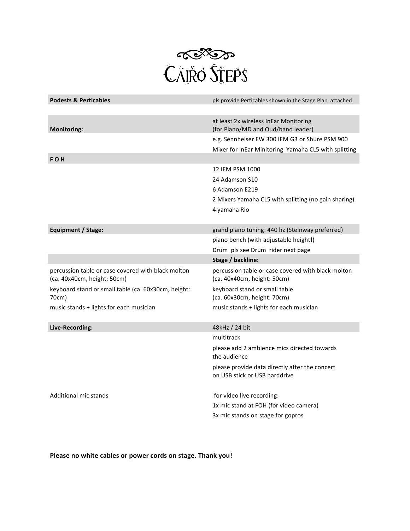

| <b>Podests &amp; Perticables</b>                                                  | pls provide Perticables shown in the Stage Plan attached                          |
|-----------------------------------------------------------------------------------|-----------------------------------------------------------------------------------|
|                                                                                   |                                                                                   |
| <b>Monitoring:</b>                                                                | at least 2x wireless InEar Monitoring<br>(for Piano/MD and Oud/band leader)       |
|                                                                                   | e.g. Sennheiser EW 300 IEM G3 or Shure PSM 900                                    |
|                                                                                   | Mixer for inEar Minitoring Yamaha CL5 with splitting                              |
| <b>FOH</b>                                                                        |                                                                                   |
|                                                                                   | 12 IEM PSM 1000                                                                   |
|                                                                                   | 24 Adamson S10                                                                    |
|                                                                                   | 6 Adamson E219                                                                    |
|                                                                                   | 2 Mixers Yamaha CL5 with splitting (no gain sharing)                              |
|                                                                                   | 4 yamaha Rio                                                                      |
|                                                                                   |                                                                                   |
| Equipment / Stage:                                                                | grand piano tuning: 440 hz (Steinway preferred)                                   |
|                                                                                   | piano bench (with adjustable height!)                                             |
|                                                                                   | Drum pls see Drum rider next page                                                 |
|                                                                                   | Stage / backline:                                                                 |
|                                                                                   |                                                                                   |
| percussion table or case covered with black molton<br>(ca. 40x40cm, height: 50cm) | percussion table or case covered with black molton<br>(ca. 40x40cm, height: 50cm) |
| keyboard stand or small table (ca. 60x30cm, height:<br>70cm)                      | keyboard stand or small table<br>(ca. 60x30cm, height: 70cm)                      |
| music stands + lights for each musician                                           | music stands + lights for each musician                                           |
| Live-Recording:                                                                   | 48kHz / 24 bit                                                                    |
|                                                                                   | multitrack                                                                        |
|                                                                                   | please add 2 ambience mics directed towards<br>the audience                       |
|                                                                                   | please provide data directly after the concert<br>on USB stick or USB harddrive   |
| Additional mic stands                                                             | for video live recording:                                                         |
|                                                                                   | 1x mic stand at FOH (for video camera)                                            |

Please no white cables or power cords on stage. Thank you!